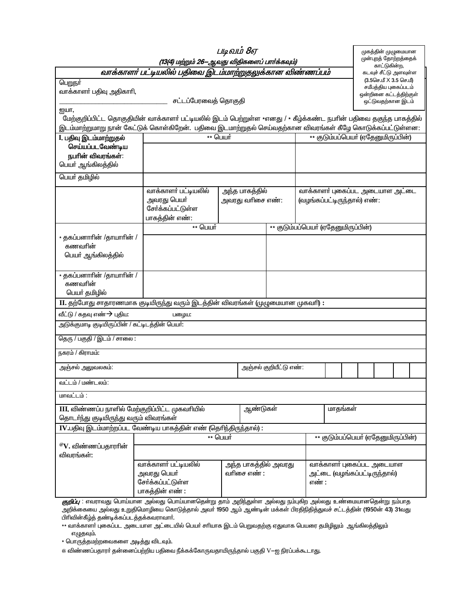| பெறுநர்<br>வாக்காளா் பதிவு அதிகாாி,                                                                                                                                                                                             | (13(4) மற்றும் 26—ஆவது விதிகளைப் பார்க்கவும்)<br>வாக்காளர் பட்டியலில் பதிவை இடம்மாற்றுதலுக்கான விண்ணப்பம் |                  |                                                                                            |                                     |                                     |                                                 |                   |  |                                       |  |  |  |
|---------------------------------------------------------------------------------------------------------------------------------------------------------------------------------------------------------------------------------|-----------------------------------------------------------------------------------------------------------|------------------|--------------------------------------------------------------------------------------------|-------------------------------------|-------------------------------------|-------------------------------------------------|-------------------|--|---------------------------------------|--|--|--|
|                                                                                                                                                                                                                                 |                                                                                                           |                  |                                                                                            |                                     |                                     |                                                 |                   |  | முன்புறத் தோற்றத்தைக்<br>காட்டுகின்ற, |  |  |  |
|                                                                                                                                                                                                                                 |                                                                                                           |                  |                                                                                            |                                     |                                     | கடவுச் சீட்டு அளவுள்ள<br>(3.5செ.மீ X 3.5 செ.மீ) |                   |  |                                       |  |  |  |
|                                                                                                                                                                                                                                 |                                                                                                           |                  | சட்டப்பேரவைத் தொகுதி                                                                       |                                     |                                     |                                                 |                   |  |                                       |  |  |  |
| ஐயா,                                                                                                                                                                                                                            |                                                                                                           |                  |                                                                                            |                                     |                                     |                                                 | ஒட்டுவதற்கான இடம் |  |                                       |  |  |  |
| மேற்குறிப்பிட்ட தொகுதியின் வாக்காளா் பட்டியலில் இடம் பெற்றுள்ள *எனது / * கீழ்க்கண்ட நபாின் பதிவை தகுந்த பாகத்தில்<br>இடம்மாற்றுமாறு நான் கேட்டுக் கொள்கிறேன்.  பதிவை இடமாற்றுதல் செய்வதற்கான விவரங்கள் கீழே கொடுக்கப்பட்டுள்ளன: |                                                                                                           |                  |                                                                                            |                                     |                                     |                                                 |                   |  |                                       |  |  |  |
| I. பதிவு இடம்மாற்றுதல்                                                                                                                                                                                                          | ** பெயர்                                                                                                  |                  |                                                                                            |                                     | ** குடும்பப்பெயா் (ஏதேனுமிருப்பின்) |                                                 |                   |  |                                       |  |  |  |
| செய்யப்படவேண்டிய<br>நபரின் விவரங்கள்:<br>பெயா் ஆங்கிலத்தில்                                                                                                                                                                     |                                                                                                           |                  |                                                                                            |                                     |                                     |                                                 |                   |  |                                       |  |  |  |
| பெயர் தமிழில்                                                                                                                                                                                                                   |                                                                                                           |                  |                                                                                            |                                     |                                     |                                                 |                   |  |                                       |  |  |  |
|                                                                                                                                                                                                                                 | வாக்காளர் பட்டியலில்                                                                                      | அந்த பாகத்தில்   |                                                                                            |                                     |                                     | வாக்காளர் புகைப்பட அடையாள அட்டை                 |                   |  |                                       |  |  |  |
|                                                                                                                                                                                                                                 | அவரது பெயர்<br>சேர்க்கப்பட்டுள்ள<br>பாகத்தின் எண்:                                                        | அவரது வரிசை எண்: |                                                                                            |                                     | (வழங்கப்பட்டிருந்தால்) எண்:         |                                                 |                   |  |                                       |  |  |  |
|                                                                                                                                                                                                                                 | ** பெயர்                                                                                                  |                  |                                                                                            |                                     | ** குடும்பப்பெயர் (ஏதேனுமிருப்பின்) |                                                 |                   |  |                                       |  |  |  |
| * தகப்பனாாின் /தாயாாின் /<br>கணவரின்<br>பெயா் ஆங்கிலத்தில்                                                                                                                                                                      |                                                                                                           |                  |                                                                                            |                                     |                                     |                                                 |                   |  |                                       |  |  |  |
| * தகப்பனாாின் /தாயாாின் /<br>கணவரின்<br>பெயர் தமிழில்                                                                                                                                                                           |                                                                                                           |                  |                                                                                            |                                     |                                     |                                                 |                   |  |                                       |  |  |  |
| II. தற்போது சாதாரணமாக குடியிருந்து வரும் இடத்தின் விவரங்கள் (முழுமையான முகவாி) :                                                                                                                                                |                                                                                                           |                  |                                                                                            |                                     |                                     |                                                 |                   |  |                                       |  |  |  |
| வீட்டு / கதவு எண் $\rightarrow$ புதிய:                                                                                                                                                                                          | பழைய:                                                                                                     |                  |                                                                                            |                                     |                                     |                                                 |                   |  |                                       |  |  |  |
| அடுக்குமாடி குடியிருப்பின் / கட்டிடத்தின் பெயா்:                                                                                                                                                                                |                                                                                                           |                  |                                                                                            |                                     |                                     |                                                 |                   |  |                                       |  |  |  |
| தெரு / பகுதி / இடம் / சாலை:                                                                                                                                                                                                     |                                                                                                           |                  |                                                                                            |                                     |                                     |                                                 |                   |  |                                       |  |  |  |
| நகரம் / கிராமம்:                                                                                                                                                                                                                |                                                                                                           |                  |                                                                                            |                                     |                                     |                                                 |                   |  |                                       |  |  |  |
| அஞ்சல் அலுவலகம்:                                                                                                                                                                                                                |                                                                                                           |                  | அஞ்சல் குறியீட்டு எண்:                                                                     |                                     |                                     |                                                 |                   |  |                                       |  |  |  |
| வட்டம் / மண்டலம்:                                                                                                                                                                                                               |                                                                                                           |                  |                                                                                            |                                     |                                     |                                                 |                   |  |                                       |  |  |  |
| மாவட்டம் :                                                                                                                                                                                                                      |                                                                                                           |                  |                                                                                            |                                     |                                     |                                                 |                   |  |                                       |  |  |  |
| III. விண்ணப்ப நாளில் மேற்குறிப்பிட்ட முகவரியில்<br>ஆண்டுகள்<br>தொடா்ந்து குடியிருந்து வரும் விவரங்கள்                                                                                                                           |                                                                                                           |                  |                                                                                            |                                     | மாதங்கள்                            |                                                 |                   |  |                                       |  |  |  |
| IV.பதிவு இடம்மாற்றப்பட வேண்டிய பாகத்தின் எண் (தெரிந்திருந்தால்) :                                                                                                                                                               |                                                                                                           |                  |                                                                                            |                                     |                                     |                                                 |                   |  |                                       |  |  |  |
| $^{\circledR}{\rm V}$ . விண்ணப்பதாராின்                                                                                                                                                                                         | ** பெயர்                                                                                                  |                  |                                                                                            | ** குடும்பப்பெயா் (ஏதேனுமிருப்பின்) |                                     |                                                 |                   |  |                                       |  |  |  |
| விவரங்கள்:                                                                                                                                                                                                                      |                                                                                                           |                  |                                                                                            |                                     |                                     |                                                 |                   |  |                                       |  |  |  |
| <i>குறிப்ப</i> எவாரவுகு பொய்யான அவ்வது பொய்யானதென்று தாம். அறிந்துள்ள அவ்வது நம்பதிற அவ்வது உண்மையானதென்று நம்பாத                                                                                                               | வாக்காளர் பட்டியலில்<br>அவரது பெயர்<br>சேர்க்கப்பட்டுள்ள<br>பாகத்தின் எண் :                               | வரிசை எண் :      | வாக்காளர் புகைப்பட அடையாள<br>அந்த பாகத்தில் அவரது<br>அட்டை (வழங்கப்பட்டிருந்தால்)<br>எண் : |                                     |                                     |                                                 |                   |  |                                       |  |  |  |

*குறுப்பு* : எவராவது பொய்யான அல்லது பொய்யானதென்று தாம் அற்நதுள்ள அல்லது நம்புகற் அல்லது உண்மையானதென்று நம்பாத்<br>அறிக்கையை அல்லது உறுதிமொழியை கொடுத்தால் அவா் 1950 ஆம் ஆண்டின் மக்கள் பிரதிநிதித்துவச் சட்டத்தின் (1950ன் 43) 3 பிரிவின்கீழ்த் தண்டிக்கப்படத்தக்கவராவார்.

\*\* வாக்காளா் புகைப்பட அடையாள அட்டையில் பெயா் சாியாக இடம் பெறுவதற்கு ஏதுவாக பெயரை தமிழிலும் ஆங்கிலத்திலும் எழுதவும்.

\* பொருத்தமற்றவைகளை அடித்து விடவும்.

*@* விண்ணப்பதாரா் தன்னைப்பற்றிய பதிவை நீக்கக்கோருவதாயிருந்தால் பகுதி V−ஐ நிரப்பக்கூடாது.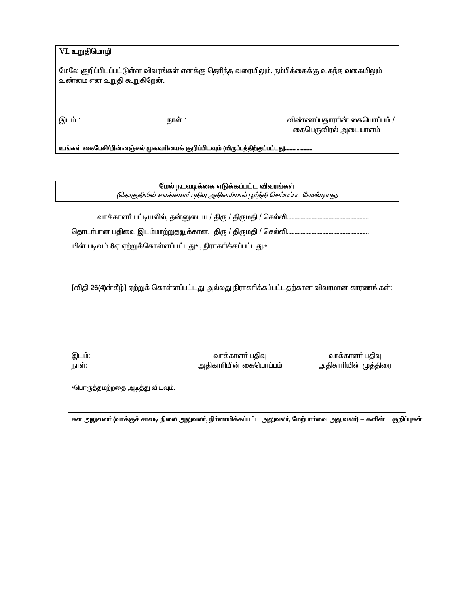|  | VI உறுதிமொழி |  |
|--|--------------|--|
|--|--------------|--|

மேலே குறிப்பிடப்பட்டுள்ள விவரங்கள் எனக்கு தெரிந்த வரையிலும், நம்பிக்கைக்கு உகந்த வகையிலும் உண்மை என உறுதி கூறுகிறேன்.

இடம் :

நாள் :

விண்ணப்பதாராின் கையொப்பம் / கைபெருவிரல் அடையாளம்

உங்கள் கைபேசி/மின்னஞ்சல் முகவரியைக் குறிப்பிடவும் (விருப்பத்திற்குட்பட்டது)

மேல் நடவடிக்கை எடுக்கப்பட்ட விவரங்கள்

(தொகுதியின் வாக்காளர் பதிவு அதிகாரியால் பூர்த்தி செய்யப்பட வேண்டியது)

தொடா்பான பதிவை இடம்மாற்றுதலுக்கான, திரு / திருமதி / செல்வி.............

யின் படிவம் 8ஏ ஏற்றுக்கொள்ளப்பட்டது\* , நிராகரிக்கப்பட்டது.\*

[விதி 26(4)ன்கீழ்] ஏற்றுக் கொள்ளப்பட்டது அல்லது நிராகரிக்கப்பட்டதற்கான விவரமான காரணங்கள்:

இடம்: நாள்:

வாக்காளா் பதிவு அதிகாரியின் கையொப்பம்

வாக்காளர் பதிவு அதிகாாியின் முத்திரை

\*பொருத்தமற்றதை அடித்து விடவும்.

கள அலுவலா் (வாக்குச் சாவடி நிலை அலுவலா், நிா்ணயிக்கப்பட்ட அலுவலா், மேற்பாா்வை அலுவலா்) — களின் குறிப்புகள்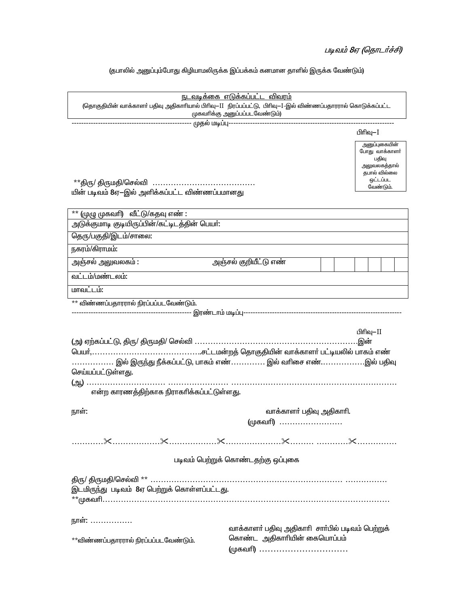# படிவம் 8ஏ (தொடர்ச்சி)

## (தபாலில் அனுப்பும்போது கிழியாமலிருக்க இப்பக்கம் கனமான தாளில் இருக்க வேண்டும்)

| <u>நடவடிக்கை எடுக்கப்பட்ட விவரம்</u><br>(தொகுதியின் வாக்காளா் பதிவு அதிகாாியால் பிாிவு—II  நிரப்பப்பட்டு,  பிாிவு—I–இல் விண்ணப்பதாரரால் கொடுக்கப்பட்ட |                                                                                                   |                   |  |  |  |  |  |  |  |
|-------------------------------------------------------------------------------------------------------------------------------------------------------|---------------------------------------------------------------------------------------------------|-------------------|--|--|--|--|--|--|--|
| முகவரிக்கு அனுப்பப்படவேண்டும்)                                                                                                                        |                                                                                                   |                   |  |  |  |  |  |  |  |
|                                                                                                                                                       |                                                                                                   |                   |  |  |  |  |  |  |  |
|                                                                                                                                                       |                                                                                                   | பிரிவு—I          |  |  |  |  |  |  |  |
| **திரு/ திருமதி/செல்வி<br>யின் படிவம் 8ஏ-இல் அளிக்கப்பட்ட விண்ணப்பமானது                                                                               | அனுப்புகையின்<br>போது வாக்காளா்<br>பதிவு<br>அலுவலகத்தால்<br>தபால் வில்லை<br>ஒட்டப்பட<br>வேண்டும். |                   |  |  |  |  |  |  |  |
|                                                                                                                                                       |                                                                                                   |                   |  |  |  |  |  |  |  |
| $*$ * (முழு முகவாி) வீட்டு/கதவு எண் :<br>அடுக்குமாடி குடியிருப்பின்/கட்டிடத்தின் பெயர்:                                                               |                                                                                                   |                   |  |  |  |  |  |  |  |
|                                                                                                                                                       |                                                                                                   |                   |  |  |  |  |  |  |  |
| தெரு/பகுதி/இடம்/சாலை:                                                                                                                                 |                                                                                                   |                   |  |  |  |  |  |  |  |
| நகரம்/கிராமம்:                                                                                                                                        |                                                                                                   |                   |  |  |  |  |  |  |  |
| அஞ்சல் அலுவலகம் :                                                                                                                                     | அஞ்சல் குறியீட்டு எண்                                                                             |                   |  |  |  |  |  |  |  |
| வட்டம்/மண்டலம்:                                                                                                                                       |                                                                                                   |                   |  |  |  |  |  |  |  |
| மாவட்டம்:                                                                                                                                             |                                                                                                   |                   |  |  |  |  |  |  |  |
| ** விண்ணப்பதாரரால் நிரப்பப்படவேண்டும்.                                                                                                                |                                                                                                   |                   |  |  |  |  |  |  |  |
|                                                                                                                                                       |                                                                                                   |                   |  |  |  |  |  |  |  |
| . இல் இருந்து நீக்கப்பட்டு, பாகம் எண் இல் வரிசை எண். இல் பதிவு<br>செய்யப்பட்டுள்ளது.<br>என்ற காரணத்திற்காக நிராகரிக்கப்பட்டுள்ளது.                    |                                                                                                   | பிரிவு-II<br>.இன் |  |  |  |  |  |  |  |
| நாள்:                                                                                                                                                 | வாக்காளா் பதிவு அதிகாாி.                                                                          |                   |  |  |  |  |  |  |  |
|                                                                                                                                                       | (முகவரி)                                                                                          |                   |  |  |  |  |  |  |  |
|                                                                                                                                                       |                                                                                                   |                   |  |  |  |  |  |  |  |
|                                                                                                                                                       | படிவம் பெற்றுக் கொண்டதற்கு ஒப்புகை                                                                |                   |  |  |  |  |  |  |  |
| இடமிருந்து படிவம் 8ஏ பெற்றுக் கொள்ளப்பட்டது.                                                                                                          |                                                                                                   |                   |  |  |  |  |  |  |  |
| நாள்:<br>**விண்ணப்பதாரரால் நிரப்பப்படவேண்டும்.                                                                                                        | வாக்காளா் பதிவு அதிகாாி சாா்்பில் படிவம் பெற்றுக்<br>கொண்ட அதிகாரியின் கையொப்பம்<br>(முகவரி)      |                   |  |  |  |  |  |  |  |